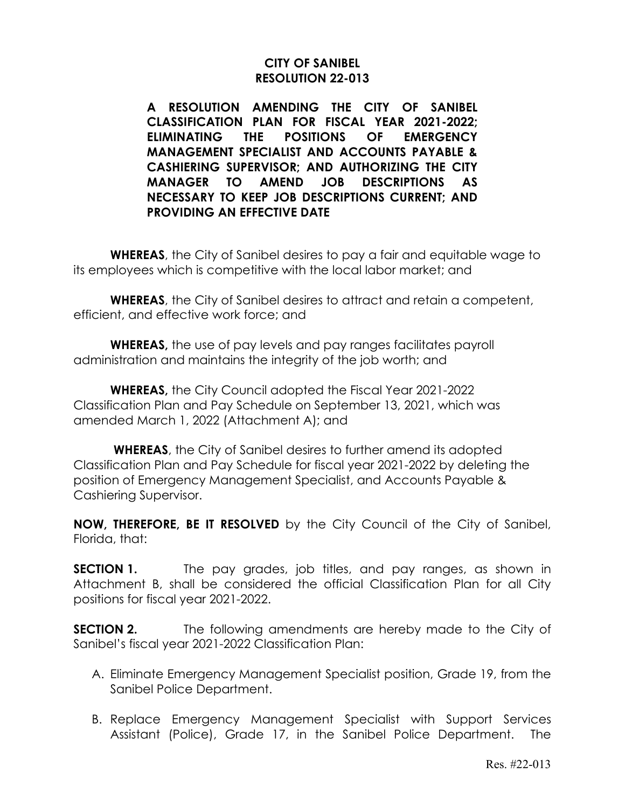### **CITY OF SANIBEL RESOLUTION 22-013**

**A RESOLUTION AMENDING THE CITY OF SANIBEL CLASSIFICATION PLAN FOR FISCAL YEAR 2021-2022; ELIMINATING THE POSITIONS OF EMERGENCY MANAGEMENT SPECIALIST AND ACCOUNTS PAYABLE & CASHIERING SUPERVISOR; AND AUTHORIZING THE CITY MANAGER TO AMEND JOB DESCRIPTIONS AS NECESSARY TO KEEP JOB DESCRIPTIONS CURRENT; AND PROVIDING AN EFFECTIVE DATE**

**WHEREAS**, the City of Sanibel desires to pay a fair and equitable wage to its employees which is competitive with the local labor market; and

**WHEREAS**, the City of Sanibel desires to attract and retain a competent, efficient, and effective work force; and

**WHEREAS,** the use of pay levels and pay ranges facilitates payroll administration and maintains the integrity of the job worth; and

**WHEREAS,** the City Council adopted the Fiscal Year 2021-2022 Classification Plan and Pay Schedule on September 13, 2021, which was amended March 1, 2022 (Attachment A); and

**WHEREAS**, the City of Sanibel desires to further amend its adopted Classification Plan and Pay Schedule for fiscal year 2021-2022 by deleting the position of Emergency Management Specialist, and Accounts Payable & Cashiering Supervisor.

**NOW, THEREFORE, BE IT RESOLVED** by the City Council of the City of Sanibel, Florida, that:

**SECTION 1.** The pay grades, job titles, and pay ranges, as shown in Attachment B, shall be considered the official Classification Plan for all City positions for fiscal year 2021-2022.

**SECTION 2.** The following amendments are hereby made to the City of Sanibel's fiscal year 2021-2022 Classification Plan:

- A. Eliminate Emergency Management Specialist position, Grade 19, from the Sanibel Police Department.
- B. Replace Emergency Management Specialist with Support Services Assistant (Police), Grade 17, in the Sanibel Police Department. The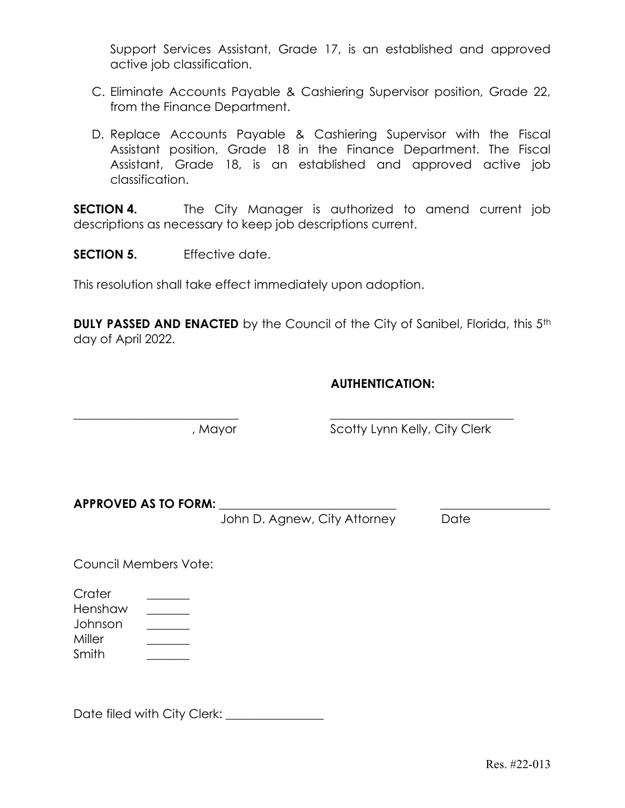Support Services Assistant, Grade 17, is an established and approved active job classification.

- C. Eliminate Accounts Payable & Cashiering Supervisor position, Grade 22, from the Finance Department.
- D. Replace Accounts Payable & Cashiering Supervisor with the Fiscal Assistant position, Grade 18 in the Finance Department. The Fiscal Assistant, Grade 18, is an established and approved active job classification.

**SECTION 4.** The City Manager is authorized to amend current job descriptions as necessary to keep job descriptions current.

SECTION 5. Fifective date.

This resolution shall take effect immediately upon adoption.

**DULY PASSED AND ENACTED** by the Council of the City of Sanibel, Florida, this 5<sup>th</sup> day of April 2022.

 $\overline{\phantom{a}}$  , and the contribution of the contribution of the contribution of the contribution of the contribution of the contribution of the contribution of the contribution of the contribution of the contribution of the

### AUTHENTICATION:

, Mayor Scotty Lynn Kelly, City Clerk

APPROVED AS TO FORM: \_\_\_\_\_\_\_\_\_\_\_\_\_\_\_\_\_\_\_\_\_\_\_\_\_\_\_\_\_ \_\_\_\_\_\_\_\_\_\_\_\_\_\_\_\_\_\_

John D. Agnew, City Attorney Date

Council Members Vote:

Crater \_\_\_\_\_\_\_ Henshaw **with a market** Johnson \_\_\_\_\_\_\_ Miller \_\_\_\_\_\_\_ Smith \_\_\_\_\_\_\_

Date filed with City Clerk: \_\_\_\_\_\_\_\_\_\_\_\_\_\_\_\_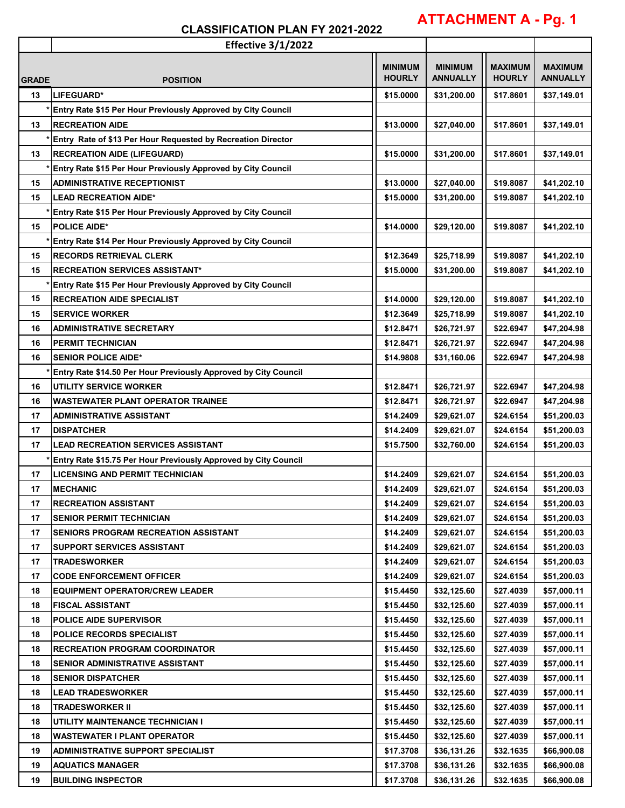# **ATTACHMENT A - Pg. 1**

|              | <b>Effective 3/1/2022</b>                                       |                |                 |                |                 |
|--------------|-----------------------------------------------------------------|----------------|-----------------|----------------|-----------------|
|              |                                                                 | <b>MINIMUM</b> | <b>MINIMUM</b>  | <b>MAXIMUM</b> | <b>MAXIMUM</b>  |
| <b>GRADE</b> | <b>POSITION</b>                                                 | <b>HOURLY</b>  | <b>ANNUALLY</b> | <b>HOURLY</b>  | <b>ANNUALLY</b> |
| 13           | LIFEGUARD*                                                      | \$15.0000      | \$31,200.00     | \$17.8601      | \$37,149.01     |
|              | * Entry Rate \$15 Per Hour Previously Approved by City Council  |                |                 |                |                 |
| 13           | <b>RECREATION AIDE</b>                                          | \$13.0000      | \$27,040.00     | \$17.8601      | \$37,149.01     |
|              | Entry Rate of \$13 Per Hour Requested by Recreation Director    |                |                 |                |                 |
| 13           | <b>RECREATION AIDE (LIFEGUARD)</b>                              | \$15.0000      | \$31,200.00     | \$17.8601      | \$37,149.01     |
|              | Entry Rate \$15 Per Hour Previously Approved by City Council    |                |                 |                |                 |
| 15           | <b>ADMINISTRATIVE RECEPTIONIST</b>                              | \$13.0000      | \$27,040.00     | \$19,8087      | \$41,202.10     |
| 15           | <b>LEAD RECREATION AIDE*</b>                                    | \$15.0000      | \$31,200.00     | \$19.8087      | \$41,202.10     |
|              | Entry Rate \$15 Per Hour Previously Approved by City Council    |                |                 |                |                 |
|              | <b>POLICE AIDE*</b>                                             |                |                 |                |                 |
| 15           |                                                                 | \$14.0000      | \$29,120.00     | \$19.8087      | \$41,202.10     |
|              | Entry Rate \$14 Per Hour Previously Approved by City Council    |                |                 |                |                 |
| 15           | <b>RECORDS RETRIEVAL CLERK</b>                                  | \$12.3649      | \$25,718.99     | \$19,8087      | \$41,202.10     |
| 15           | <b>RECREATION SERVICES ASSISTANT*</b>                           | \$15,0000      | \$31,200.00     | \$19.8087      | \$41,202.10     |
|              | Entry Rate \$15 Per Hour Previously Approved by City Council    |                |                 |                |                 |
| 15           | <b>RECREATION AIDE SPECIALIST</b>                               | \$14.0000      | \$29,120.00     | \$19.8087      | \$41,202.10     |
| 15           | <b>SERVICE WORKER</b>                                           | \$12.3649      | \$25,718.99     | \$19.8087      | \$41,202.10     |
| 16           | <b>ADMINISTRATIVE SECRETARY</b>                                 | \$12.8471      | \$26,721.97     | \$22.6947      | \$47,204.98     |
| 16           | <b>PERMIT TECHNICIAN</b>                                        | \$12.8471      | \$26,721.97     | \$22.6947      | \$47,204.98     |
| 16           | <b>SENIOR POLICE AIDE*</b>                                      | \$14.9808      | \$31,160.06     | \$22.6947      | \$47,204.98     |
|              | Entry Rate \$14.50 Per Hour Previously Approved by City Council |                |                 |                |                 |
| 16           | UTILITY SERVICE WORKER                                          | \$12.8471      | \$26,721.97     | \$22.6947      | \$47,204.98     |
| 16           | <b>WASTEWATER PLANT OPERATOR TRAINEE</b>                        | \$12.8471      | \$26,721.97     | \$22.6947      | \$47,204.98     |
| 17           | <b>ADMINISTRATIVE ASSISTANT</b>                                 | \$14.2409      | \$29,621.07     | \$24.6154      | \$51,200.03     |
| 17           | <b>DISPATCHER</b>                                               | \$14.2409      | \$29,621.07     | \$24.6154      | \$51,200.03     |
| 17           | <b>LEAD RECREATION SERVICES ASSISTANT</b>                       | \$15.7500      | \$32,760.00     | \$24.6154      | \$51,200.03     |
|              | Entry Rate \$15.75 Per Hour Previously Approved by City Council |                |                 |                |                 |
| 17           | <b>LICENSING AND PERMIT TECHNICIAN</b>                          | \$14.2409      | \$29,621.07     | \$24.6154      | \$51,200.03     |
| 17           | <b>MECHANIC</b>                                                 | \$14.2409      | \$29,621.07     | \$24.6154      | \$51,200.03     |
| 17           | <b>RECREATION ASSISTANT</b>                                     | \$14.2409      | \$29,621.07     | \$24.6154      | \$51,200.03     |
| 17           | <b>SENIOR PERMIT TECHNICIAN</b>                                 | \$14.2409      | \$29,621.07     | \$24.6154      | \$51,200.03     |
| 17           | SENIORS PROGRAM RECREATION ASSISTANT                            | \$14.2409      | \$29,621.07     | \$24.6154      | \$51,200.03     |
| 17           | <b>SUPPORT SERVICES ASSISTANT</b>                               | \$14.2409      | \$29,621.07     | \$24.6154      | \$51,200.03     |
| 17           | <b>TRADESWORKER</b>                                             | \$14.2409      | \$29,621.07     | \$24.6154      | \$51,200.03     |
| 17           | <b>CODE ENFORCEMENT OFFICER</b>                                 | \$14.2409      | \$29,621.07     | \$24.6154      | \$51,200.03     |
| 18           | <b>EQUIPMENT OPERATOR/CREW LEADER</b>                           | \$15.4450      | \$32,125.60     | \$27.4039      | \$57,000.11     |
| 18           | <b>FISCAL ASSISTANT</b>                                         | \$15.4450      | \$32,125.60     | \$27.4039      | \$57,000.11     |
| 18           | <b>POLICE AIDE SUPERVISOR</b>                                   | \$15.4450      | \$32,125.60     | \$27.4039      | \$57,000.11     |
| 18           | <b>POLICE RECORDS SPECIALIST</b>                                | \$15.4450      | \$32,125.60     | \$27.4039      | \$57,000.11     |
| 18           | <b>RECREATION PROGRAM COORDINATOR</b>                           | \$15.4450      | \$32,125.60     | \$27.4039      | \$57,000.11     |
| 18           | SENIOR ADMINISTRATIVE ASSISTANT                                 | \$15.4450      | \$32,125.60     | \$27.4039      | \$57,000.11     |
| 18           | <b>SENIOR DISPATCHER</b>                                        | \$15.4450      | \$32,125.60     | \$27.4039      | \$57,000.11     |
| 18           | <b>LEAD TRADESWORKER</b>                                        | \$15.4450      | \$32,125.60     | \$27.4039      | \$57,000.11     |
| 18           | <b>TRADESWORKER II</b>                                          | \$15.4450      | \$32,125.60     | \$27.4039      | \$57,000.11     |
| 18           | UTILITY MAINTENANCE TECHNICIAN I                                | \$15.4450      | \$32,125.60     | \$27.4039      | \$57,000.11     |
| 18           | <b>WASTEWATER I PLANT OPERATOR</b>                              | \$15.4450      | \$32,125.60     | \$27.4039      | \$57,000.11     |
| 19           | <b>ADMINISTRATIVE SUPPORT SPECIALIST</b>                        | \$17.3708      | \$36,131.26     | \$32.1635      | \$66,900.08     |
| 19           | <b>AQUATICS MANAGER</b>                                         | \$17.3708      | \$36,131.26     | \$32.1635      | \$66,900.08     |
| 19           | <b>BUILDING INSPECTOR</b>                                       | \$17.3708      | \$36,131.26     | \$32.1635      | \$66,900.08     |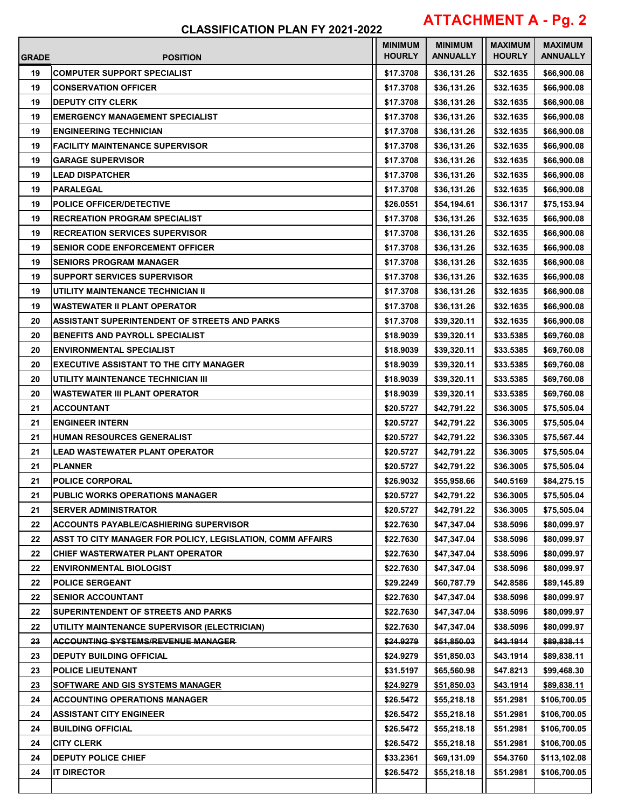# **ATTACHMENT A - Pg. 2**

| <b>GRADE</b> | <b>POSITION</b>                                            | <b>MINIMUM</b><br><b>HOURLY</b> | <b>MINIMUM</b><br><b>ANNUALLY</b> | <b>MAXIMUM</b><br><b>HOURLY</b> | <b>MAXIMUM</b><br><b>ANNUALLY</b> |
|--------------|------------------------------------------------------------|---------------------------------|-----------------------------------|---------------------------------|-----------------------------------|
| 19           | <b>COMPUTER SUPPORT SPECIALIST</b>                         | \$17.3708                       | \$36,131.26                       | \$32.1635                       | \$66,900.08                       |
| 19           | <b>CONSERVATION OFFICER</b>                                | \$17.3708                       | \$36,131.26                       | \$32.1635                       | \$66,900.08                       |
| 19           | <b>DEPUTY CITY CLERK</b>                                   | \$17.3708                       | \$36,131.26                       | \$32.1635                       | \$66,900.08                       |
| 19           | <b>EMERGENCY MANAGEMENT SPECIALIST</b>                     | \$17.3708                       | \$36,131.26                       | \$32.1635                       | \$66,900.08                       |
| 19           | <b>ENGINEERING TECHNICIAN</b>                              | \$17.3708                       | \$36,131.26                       | \$32.1635                       | \$66,900.08                       |
| 19           | <b>FACILITY MAINTENANCE SUPERVISOR</b>                     | \$17.3708                       | \$36,131.26                       | \$32.1635                       | \$66,900.08                       |
| 19           | <b>GARAGE SUPERVISOR</b>                                   | \$17.3708                       | \$36,131.26                       | \$32.1635                       | \$66,900.08                       |
| 19           | <b>LEAD DISPATCHER</b>                                     | \$17.3708                       | \$36,131.26                       | \$32.1635                       | \$66,900.08                       |
| 19           | <b>PARALEGAL</b>                                           | \$17.3708                       | \$36,131.26                       | \$32.1635                       | \$66,900.08                       |
| 19           | <b>POLICE OFFICER/DETECTIVE</b>                            | \$26.0551                       | \$54,194.61                       | \$36.1317                       | \$75,153.94                       |
| 19           | <b>RECREATION PROGRAM SPECIALIST</b>                       | \$17.3708                       | \$36,131.26                       | \$32.1635                       | \$66,900.08                       |
| 19           | <b>RECREATION SERVICES SUPERVISOR</b>                      | \$17.3708                       | \$36,131.26                       | \$32.1635                       | \$66,900.08                       |
| 19           | <b>SENIOR CODE ENFORCEMENT OFFICER</b>                     | \$17.3708                       | \$36,131.26                       | \$32.1635                       | \$66,900.08                       |
| 19           | <b>SENIORS PROGRAM MANAGER</b>                             | \$17.3708                       | \$36,131.26                       | \$32.1635                       | \$66,900.08                       |
| 19           | <b>SUPPORT SERVICES SUPERVISOR</b>                         | \$17.3708                       | \$36,131.26                       | \$32.1635                       | \$66,900.08                       |
| 19           | UTILITY MAINTENANCE TECHNICIAN II                          | \$17.3708                       | \$36,131.26                       | \$32.1635                       | \$66,900.08                       |
| 19           | <b>WASTEWATER II PLANT OPERATOR</b>                        | \$17.3708                       | \$36,131.26                       | \$32.1635                       | \$66,900.08                       |
| 20           | <b>ASSISTANT SUPERINTENDENT OF STREETS AND PARKS</b>       | \$17.3708                       | \$39,320.11                       | \$32.1635                       | \$66,900.08                       |
| 20           | <b>BENEFITS AND PAYROLL SPECIALIST</b>                     | \$18.9039                       | \$39,320.11                       | \$33.5385                       | \$69,760.08                       |
| 20           | <b>ENVIRONMENTAL SPECIALIST</b>                            | \$18.9039                       | \$39,320.11                       | \$33.5385                       | \$69,760.08                       |
| 20           | <b>EXECUTIVE ASSISTANT TO THE CITY MANAGER</b>             | \$18.9039                       | \$39,320.11                       | \$33.5385                       | \$69,760.08                       |
| 20           | UTILITY MAINTENANCE TECHNICIAN III                         | \$18.9039                       | \$39,320.11                       | \$33.5385                       | \$69,760.08                       |
| 20           | <b>WASTEWATER III PLANT OPERATOR</b>                       | \$18.9039                       | \$39,320.11                       | \$33.5385                       | \$69,760.08                       |
| 21           | <b>ACCOUNTANT</b>                                          | \$20.5727                       | \$42,791.22                       | \$36.3005                       | \$75,505.04                       |
| 21           | <b>ENGINEER INTERN</b>                                     | \$20.5727                       | \$42,791.22                       | \$36.3005                       | \$75,505.04                       |
| 21           | <b>HUMAN RESOURCES GENERALIST</b>                          | \$20.5727                       | \$42.791.22                       | \$36.3305                       | \$75,567.44                       |
| 21           | <b>LEAD WASTEWATER PLANT OPERATOR</b>                      | \$20.5727                       | \$42,791.22                       | \$36.3005                       | \$75,505.04                       |
| 21           | <b>PLANNER</b>                                             | \$20.5727                       | \$42,791.22                       | \$36.3005                       | \$75,505.04                       |
| 21           | <b>POLICE CORPORAL</b>                                     | \$26.9032                       | \$55,958.66                       | \$40.5169                       | \$84,275.15                       |
| 21           | PUBLIC WORKS OPERATIONS MANAGER                            | \$20.5727                       | \$42,791.22                       | \$36.3005                       | \$75,505.04                       |
| 21           | <b>SERVER ADMINISTRATOR</b>                                | \$20.5727                       | \$42,791.22                       | \$36.3005                       | \$75,505.04                       |
| 22           | <b>ACCOUNTS PAYABLE/CASHIERING SUPERVISOR</b>              | \$22.7630                       | \$47,347.04                       | \$38.5096                       | \$80,099.97                       |
| 22           | ASST TO CITY MANAGER FOR POLICY, LEGISLATION, COMM AFFAIRS | \$22.7630                       | \$47,347.04                       | \$38,5096                       | \$80,099.97                       |
| 22           | CHIEF WASTERWATER PLANT OPERATOR                           | \$22.7630                       | \$47,347.04                       | \$38.5096                       | \$80,099.97                       |
| 22           | <b>ENVIRONMENTAL BIOLOGIST</b>                             | \$22.7630                       | \$47,347.04                       | \$38.5096                       | \$80,099.97                       |
| 22           | <b>POLICE SERGEANT</b>                                     | \$29.2249                       | \$60,787.79                       | \$42.8586                       | \$89,145.89                       |
| 22           | <b>SENIOR ACCOUNTANT</b>                                   | \$22.7630                       | \$47,347.04                       | \$38.5096                       | \$80,099.97                       |
| 22           | SUPERINTENDENT OF STREETS AND PARKS                        | \$22.7630                       | \$47,347.04                       | \$38.5096                       | \$80,099.97                       |
| 22           | UTILITY MAINTENANCE SUPERVISOR (ELECTRICIAN)               | \$22.7630                       | \$47,347.04                       | \$38.5096                       | \$80,099.97                       |
| 23           | <b>ACCOUNTING SYSTEMS/REVENUE MANAGER</b>                  | \$24.9279                       | \$51,850.03                       | <del>\$43.1914</del>            | <del>\$89,838.11</del>            |
| 23           | <b>DEPUTY BUILDING OFFICIAL</b>                            | \$24.9279                       | \$51,850.03                       | \$43.1914                       | \$89,838.11                       |
| 23           | <b>POLICE LIEUTENANT</b>                                   | \$31.5197                       | \$65,560.98                       | \$47.8213                       | \$99,468.30                       |
| 23           | SOFTWARE AND GIS SYSTEMS MANAGER                           | \$24.9279                       | \$51,850.03                       | \$43.1914                       | <u>\$89,838.11</u>                |
| 24           | <b>ACCOUNTING OPERATIONS MANAGER</b>                       | \$26.5472                       | \$55,218.18                       | \$51.2981                       | \$106,700.05                      |
| 24           | <b>ASSISTANT CITY ENGINEER</b>                             | \$26.5472                       | \$55,218.18                       | \$51.2981                       | \$106,700.05                      |
| 24           | <b>BUILDING OFFICIAL</b>                                   | \$26.5472                       | \$55,218.18                       | \$51.2981                       | \$106,700.05                      |
| 24           | <b>CITY CLERK</b>                                          | \$26.5472                       | \$55,218.18                       | \$51.2981                       | \$106,700.05                      |
| 24           | <b>DEPUTY POLICE CHIEF</b>                                 | \$33.2361                       | \$69,131.09                       | \$54.3760                       | \$113,102.08                      |
| 24           | <b>IT DIRECTOR</b>                                         | \$26.5472                       | \$55,218.18                       | \$51.2981                       | \$106,700.05                      |
|              |                                                            |                                 |                                   |                                 |                                   |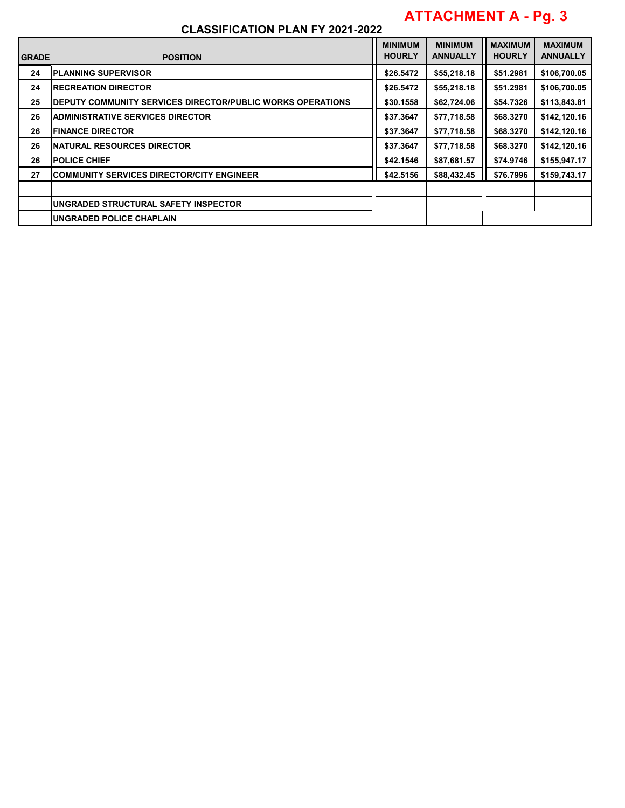# **ATTACHMENT A - Pg. 3**

| <b>IGRADE</b> | <b>POSITION</b>                                            | <b>MINIMUM</b><br><b>HOURLY</b> | <b>MINIMUM</b><br><b>ANNUALLY</b> | <b>MAXIMUM</b><br><b>HOURLY</b> | <b>MAXIMUM</b><br><b>ANNUALLY</b> |
|---------------|------------------------------------------------------------|---------------------------------|-----------------------------------|---------------------------------|-----------------------------------|
| 24            | <b>PLANNING SUPERVISOR</b>                                 | \$26,5472                       | \$55,218.18                       | \$51.2981                       | \$106,700.05                      |
| 24            | <b>RECREATION DIRECTOR</b>                                 | \$26.5472                       | \$55,218.18                       | \$51.2981                       | \$106,700.05                      |
| 25            | DEPUTY COMMUNITY SERVICES DIRECTOR/PUBLIC WORKS OPERATIONS | \$30.1558                       | \$62,724.06                       | \$54.7326                       | \$113,843.81                      |
| 26            | <b>ADMINISTRATIVE SERVICES DIRECTOR</b>                    | \$37.3647                       | \$77,718.58                       | \$68,3270                       | \$142,120.16                      |
| 26            | <b>FINANCE DIRECTOR</b>                                    | \$37.3647                       | \$77,718.58                       | \$68.3270                       | \$142,120.16                      |
| 26            | <b>NATURAL RESOURCES DIRECTOR</b>                          | \$37.3647                       | \$77,718.58                       | \$68,3270                       | \$142,120.16                      |
| 26            | <b>POLICE CHIEF</b>                                        | \$42,1546                       | \$87,681.57                       | \$74.9746                       | \$155,947.17                      |
| 27            | <b>COMMUNITY SERVICES DIRECTOR/CITY ENGINEER</b>           | \$42,5156                       | \$88,432.45                       | \$76,7996                       | \$159,743.17                      |
|               |                                                            |                                 |                                   |                                 |                                   |
|               | UNGRADED STRUCTURAL SAFETY INSPECTOR                       |                                 |                                   |                                 |                                   |
|               | UNGRADED POLICE CHAPLAIN                                   |                                 |                                   |                                 |                                   |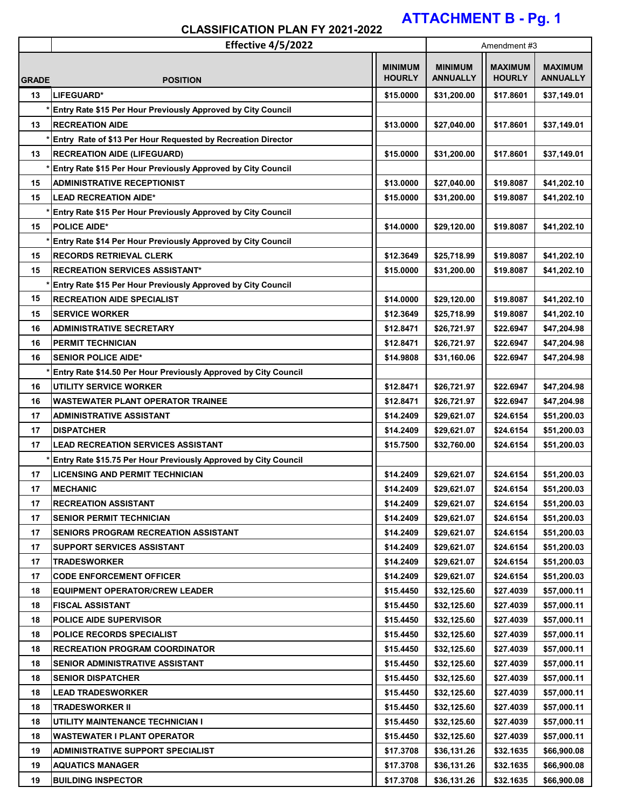# **ATTACHMENT B - Pg. 1**

|              | Effective 4/5/2022                                              |                                 | Amendment#3                       |                                 |                                   |
|--------------|-----------------------------------------------------------------|---------------------------------|-----------------------------------|---------------------------------|-----------------------------------|
| <b>GRADE</b> | <b>POSITION</b>                                                 | <b>MINIMUM</b><br><b>HOURLY</b> | <b>MINIMUM</b><br><b>ANNUALLY</b> | <b>MAXIMUM</b><br><b>HOURLY</b> | <b>MAXIMUM</b><br><b>ANNUALLY</b> |
| 13           | LIFEGUARD*                                                      | \$15.0000                       | \$31,200.00                       | \$17.8601                       | \$37,149.01                       |
|              | Entry Rate \$15 Per Hour Previously Approved by City Council    |                                 |                                   |                                 |                                   |
| 13           | <b>RECREATION AIDE</b>                                          | \$13.0000                       | \$27,040.00                       | \$17.8601                       | \$37,149.01                       |
|              | Entry Rate of \$13 Per Hour Requested by Recreation Director    |                                 |                                   |                                 |                                   |
| 13           | <b>RECREATION AIDE (LIFEGUARD)</b>                              | \$15.0000                       | \$31,200.00                       | \$17.8601                       | \$37,149.01                       |
|              | Entry Rate \$15 Per Hour Previously Approved by City Council    |                                 |                                   |                                 |                                   |
| 15           | <b>ADMINISTRATIVE RECEPTIONIST</b>                              | \$13.0000                       | \$27,040.00                       | \$19.8087                       | \$41,202.10                       |
| 15           | <b>LEAD RECREATION AIDE*</b>                                    | \$15.0000                       | \$31,200.00                       | \$19.8087                       | \$41,202.10                       |
|              | Entry Rate \$15 Per Hour Previously Approved by City Council    |                                 |                                   |                                 |                                   |
| 15           | <b>POLICE AIDE*</b>                                             | \$14.0000                       | \$29,120.00                       | \$19.8087                       | \$41,202.10                       |
|              | Entry Rate \$14 Per Hour Previously Approved by City Council    |                                 |                                   |                                 |                                   |
| 15           | <b>RECORDS RETRIEVAL CLERK</b>                                  | \$12.3649                       | \$25,718.99                       | \$19.8087                       | \$41,202.10                       |
| 15           | <b>RECREATION SERVICES ASSISTANT*</b>                           | \$15.0000                       | \$31,200.00                       | \$19.8087                       | \$41,202.10                       |
|              | Entry Rate \$15 Per Hour Previously Approved by City Council    |                                 |                                   |                                 |                                   |
| 15           | <b>RECREATION AIDE SPECIALIST</b>                               | \$14.0000                       | \$29,120.00                       | \$19.8087                       | \$41,202.10                       |
| 15           | <b>SERVICE WORKER</b>                                           | \$12.3649                       | \$25,718.99                       | \$19.8087                       | \$41,202.10                       |
| 16           | <b>ADMINISTRATIVE SECRETARY</b>                                 | \$12.8471                       | \$26,721.97                       | \$22.6947                       | \$47,204.98                       |
| 16           | <b>PERMIT TECHNICIAN</b>                                        | \$12.8471                       | \$26,721.97                       | \$22.6947                       | \$47,204.98                       |
| 16           | <b>SENIOR POLICE AIDE*</b>                                      | \$14.9808                       | \$31,160.06                       | \$22.6947                       | \$47,204.98                       |
|              | Entry Rate \$14.50 Per Hour Previously Approved by City Council |                                 |                                   |                                 |                                   |
| 16           | <b>UTILITY SERVICE WORKER</b>                                   | \$12.8471                       | \$26,721.97                       | \$22.6947                       | \$47,204.98                       |
| 16           | WASTEWATER PLANT OPERATOR TRAINEE                               | \$12.8471                       | \$26,721.97                       | \$22.6947                       | \$47,204.98                       |
| 17           | <b>ADMINISTRATIVE ASSISTANT</b>                                 | \$14.2409                       | \$29,621.07                       | \$24.6154                       | \$51,200.03                       |
| 17           | <b>DISPATCHER</b>                                               | \$14.2409                       | \$29,621.07                       | \$24.6154                       | \$51,200.03                       |
| 17           | <b>LEAD RECREATION SERVICES ASSISTANT</b>                       | \$15.7500                       | \$32,760.00                       | \$24.6154                       | \$51,200.03                       |
|              | Entry Rate \$15.75 Per Hour Previously Approved by City Council |                                 |                                   |                                 |                                   |
| 17           | <b>LICENSING AND PERMIT TECHNICIAN</b>                          | \$14.2409                       | \$29,621.07                       | \$24.6154                       | \$51,200.03                       |
| 17           | <b>MECHANIC</b>                                                 | \$14.2409                       | \$29,621.07                       | \$24.6154                       | \$51,200.03                       |
| 17           | <b>RECREATION ASSISTANT</b>                                     | \$14.2409                       | \$29,621.07                       | \$24.6154                       | \$51,200.03                       |
| 17           | <b>SENIOR PERMIT TECHNICIAN</b>                                 | \$14.2409                       | \$29,621.07                       | \$24.6154                       | \$51,200.03                       |
| 17           | <b>SENIORS PROGRAM RECREATION ASSISTANT</b>                     | \$14.2409                       | \$29,621.07                       | \$24.6154                       | \$51,200.03                       |
| 17           | <b>SUPPORT SERVICES ASSISTANT</b>                               | \$14.2409                       | \$29,621.07                       | \$24.6154                       | \$51,200.03                       |
| 17           | <b>TRADESWORKER</b>                                             | \$14.2409                       | \$29,621.07                       | \$24.6154                       | \$51,200.03                       |
| 17           | <b>CODE ENFORCEMENT OFFICER</b>                                 | \$14.2409                       | \$29,621.07                       | \$24.6154                       | \$51,200.03                       |
| 18           | <b>EQUIPMENT OPERATOR/CREW LEADER</b>                           | \$15.4450                       | \$32,125.60                       | \$27.4039                       | \$57,000.11                       |
| 18           | <b>FISCAL ASSISTANT</b>                                         | \$15.4450                       | \$32,125.60                       | \$27.4039                       | \$57,000.11                       |
| 18           | <b>POLICE AIDE SUPERVISOR</b>                                   | \$15.4450                       | \$32,125.60                       | \$27.4039                       | \$57,000.11                       |
| 18           | <b>POLICE RECORDS SPECIALIST</b>                                | \$15.4450                       | \$32,125.60                       | \$27.4039                       | \$57,000.11                       |
| 18           | <b>RECREATION PROGRAM COORDINATOR</b>                           | \$15.4450                       | \$32,125.60                       | \$27.4039                       | \$57,000.11                       |
| 18           | <b>SENIOR ADMINISTRATIVE ASSISTANT</b>                          | \$15.4450                       | \$32,125.60                       | \$27.4039                       | \$57,000.11                       |
| 18           | <b>SENIOR DISPATCHER</b>                                        | \$15.4450                       | \$32,125.60                       | \$27.4039                       | \$57,000.11                       |
| 18           | <b>LEAD TRADESWORKER</b>                                        | \$15.4450                       | \$32,125.60                       | \$27.4039                       | \$57,000.11                       |
| 18           | <b>TRADESWORKER II</b>                                          | \$15.4450                       | \$32,125.60                       | \$27.4039                       | \$57,000.11                       |
| 18           | UTILITY MAINTENANCE TECHNICIAN I                                | \$15.4450                       | \$32,125.60                       | \$27.4039                       | \$57,000.11                       |
| 18           | <b>WASTEWATER I PLANT OPERATOR</b>                              | \$15.4450                       | \$32,125.60                       | \$27.4039                       | \$57,000.11                       |
| 19           | ADMINISTRATIVE SUPPORT SPECIALIST                               | \$17.3708                       | \$36,131.26                       | \$32.1635                       | \$66,900.08                       |
| 19           | <b>AQUATICS MANAGER</b>                                         | \$17.3708                       | \$36,131.26                       | \$32.1635                       | \$66,900.08                       |
| 19           | <b>BUILDING INSPECTOR</b>                                       | \$17.3708                       | \$36,131.26                       | \$32.1635                       | \$66,900.08                       |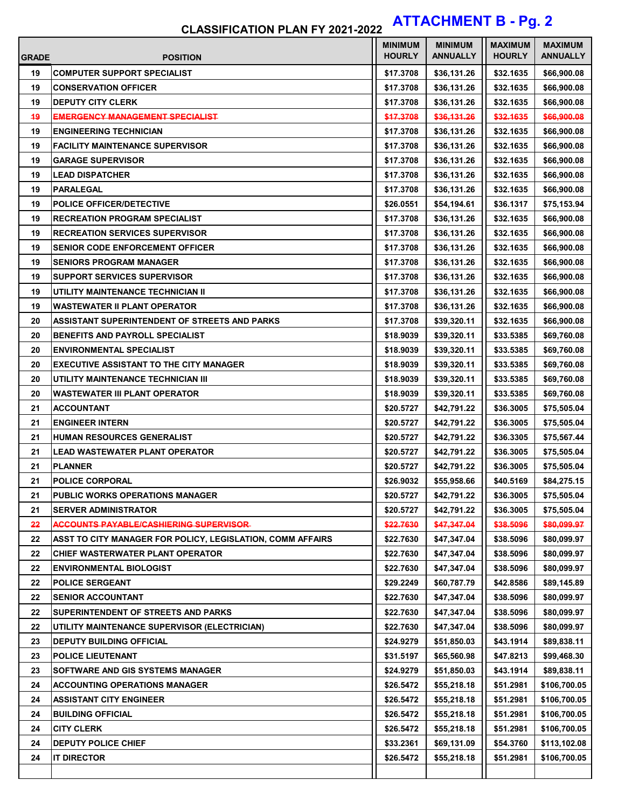# **CLASSIFICATION PLAN FY 2021-2022 ATTACHMENT B - Pg. 2**

| <b>GRADE</b> | <b>POSITION</b>                                            | <b>MINIMUM</b><br><b>HOURLY</b> | <b>MINIMUM</b><br><b>ANNUALLY</b> | <b>MAXIMUM</b><br><b>HOURLY</b> | <b>MAXIMUM</b><br><b>ANNUALLY</b> |
|--------------|------------------------------------------------------------|---------------------------------|-----------------------------------|---------------------------------|-----------------------------------|
| 19           | <b>COMPUTER SUPPORT SPECIALIST</b>                         | \$17.3708                       | \$36,131.26                       | \$32.1635                       | \$66,900.08                       |
| 19           | <b>CONSERVATION OFFICER</b>                                | \$17.3708                       | \$36,131.26                       | \$32.1635                       | \$66,900.08                       |
| 19           | <b>DEPUTY CITY CLERK</b>                                   | \$17.3708                       | \$36,131.26                       | \$32.1635                       | \$66,900.08                       |
| 49           | EMERGENCY MANAGEMENT SPECIALIST                            | \$17.3708                       | \$36,131.26                       | \$32.1635                       | \$66,900.08                       |
| 19           | <b>ENGINEERING TECHNICIAN</b>                              | \$17.3708                       | \$36,131.26                       | \$32.1635                       | \$66,900.08                       |
| 19           | <b>FACILITY MAINTENANCE SUPERVISOR</b>                     | \$17,3708                       | \$36,131.26                       | \$32.1635                       | \$66,900.08                       |
| 19           | <b>GARAGE SUPERVISOR</b>                                   | \$17.3708                       | \$36,131.26                       | \$32.1635                       | \$66,900.08                       |
| 19           | <b>LEAD DISPATCHER</b>                                     | \$17.3708                       | \$36,131.26                       | \$32.1635                       | \$66,900.08                       |
| 19           | <b>PARALEGAL</b>                                           | \$17.3708                       | \$36,131.26                       | \$32.1635                       | \$66,900.08                       |
| 19           | <b>POLICE OFFICER/DETECTIVE</b>                            | \$26.0551                       | \$54,194.61                       | \$36.1317                       | \$75,153.94                       |
| 19           | <b>RECREATION PROGRAM SPECIALIST</b>                       | \$17.3708                       | \$36,131.26                       | \$32.1635                       | \$66,900.08                       |
| 19           | <b>RECREATION SERVICES SUPERVISOR</b>                      | \$17.3708                       | \$36,131.26                       | \$32.1635                       | \$66,900.08                       |
| 19           | <b>SENIOR CODE ENFORCEMENT OFFICER</b>                     | \$17.3708                       | \$36,131.26                       | \$32.1635                       | \$66,900.08                       |
| 19           | <b>SENIORS PROGRAM MANAGER</b>                             | \$17.3708                       | \$36,131.26                       | \$32.1635                       | \$66,900.08                       |
| 19           | <b>SUPPORT SERVICES SUPERVISOR</b>                         | \$17.3708                       | \$36,131.26                       | \$32.1635                       | \$66,900.08                       |
| 19           | UTILITY MAINTENANCE TECHNICIAN II                          | \$17.3708                       | \$36,131.26                       | \$32.1635                       | \$66,900.08                       |
| 19           | <b>WASTEWATER II PLANT OPERATOR</b>                        | \$17.3708                       | \$36,131.26                       | \$32.1635                       | \$66,900.08                       |
| 20           | ASSISTANT SUPERINTENDENT OF STREETS AND PARKS              | \$17.3708                       | \$39,320.11                       | \$32.1635                       | \$66,900.08                       |
| 20           | <b>BENEFITS AND PAYROLL SPECIALIST</b>                     | \$18.9039                       | \$39,320.11                       | \$33.5385                       | \$69,760.08                       |
| 20           | <b>ENVIRONMENTAL SPECIALIST</b>                            | \$18.9039                       | \$39,320.11                       | \$33.5385                       | \$69,760.08                       |
| 20           | <b>EXECUTIVE ASSISTANT TO THE CITY MANAGER</b>             | \$18.9039                       | \$39,320.11                       | \$33.5385                       | \$69,760.08                       |
| 20           | UTILITY MAINTENANCE TECHNICIAN III                         | \$18.9039                       | \$39,320.11                       | \$33.5385                       | \$69,760.08                       |
| 20           | <b>WASTEWATER III PLANT OPERATOR</b>                       | \$18.9039                       | \$39,320.11                       | \$33.5385                       | \$69,760.08                       |
| 21           | <b>ACCOUNTANT</b>                                          | \$20.5727                       | \$42,791.22                       | \$36.3005                       | \$75,505.04                       |
| 21           | <b>ENGINEER INTERN</b>                                     | \$20.5727                       | \$42,791.22                       | \$36.3005                       | \$75,505.04                       |
| 21           | HUMAN RESOURCES GENERALIST                                 | \$20.5727                       | \$42,791.22                       | \$36.3305                       | \$75,567.44                       |
| 21           | <b>LEAD WASTEWATER PLANT OPERATOR</b>                      | \$20.5727                       | \$42,791.22                       | \$36.3005                       | \$75,505.04                       |
| 21           | <b>PLANNER</b>                                             | \$20.5727                       | \$42,791.22                       | \$36.3005                       | \$75,505.04                       |
| 21           | <b>POLICE CORPORAL</b>                                     | \$26.9032                       | \$55,958.66                       | \$40.5169                       | \$84,275.15                       |
| 21           | PUBLIC WORKS OPERATIONS MANAGER                            | \$20.5727                       | \$42,791.22                       | \$36.3005                       | \$75,505.04                       |
| 21           | <b>SERVER ADMINISTRATOR</b>                                | \$20.5727                       | \$42,791.22                       | \$36.3005                       | \$75,505.04                       |
| 22           | <b>ACCOUNTS PAYABLE/CASHIERING SUPERVISOR-</b>             | \$22.7630                       | \$47,347.04                       | \$38.5096                       | \$80,099.97                       |
| 22           | ASST TO CITY MANAGER FOR POLICY, LEGISLATION, COMM AFFAIRS | \$22.7630                       | \$47,347.04                       | \$38.5096                       | \$80,099.97                       |
| 22           | <b>CHIEF WASTERWATER PLANT OPERATOR</b>                    | \$22.7630                       | \$47,347.04                       | \$38.5096                       | \$80,099.97                       |
| 22           | <b>ENVIRONMENTAL BIOLOGIST</b>                             | \$22.7630                       | \$47,347.04                       | \$38.5096                       | \$80,099.97                       |
| 22           | <b>POLICE SERGEANT</b>                                     | \$29.2249                       | \$60,787.79                       | \$42.8586                       | \$89,145.89                       |
| 22           | <b>SENIOR ACCOUNTANT</b>                                   | \$22.7630                       | \$47,347.04                       | \$38.5096                       | \$80,099.97                       |
| 22           | SUPERINTENDENT OF STREETS AND PARKS                        | \$22.7630                       | \$47,347.04                       | \$38.5096                       | \$80,099.97                       |
| 22           | UTILITY MAINTENANCE SUPERVISOR (ELECTRICIAN)               | \$22.7630                       | \$47,347.04                       | \$38.5096                       | \$80,099.97                       |
| 23           | <b>DEPUTY BUILDING OFFICIAL</b>                            | \$24.9279                       | \$51,850.03                       | \$43.1914                       | \$89,838.11                       |
| 23           | POLICE LIEUTENANT                                          | \$31.5197                       | \$65,560.98                       | \$47.8213                       | \$99,468.30                       |
| 23           | SOFTWARE AND GIS SYSTEMS MANAGER                           | \$24.9279                       | \$51,850.03                       | \$43.1914                       | \$89,838.11                       |
| 24           | <b>ACCOUNTING OPERATIONS MANAGER</b>                       | \$26.5472                       | \$55,218.18                       | \$51.2981                       | \$106,700.05                      |
| 24           | <b>ASSISTANT CITY ENGINEER</b>                             | \$26.5472                       | \$55,218.18                       | \$51.2981                       | \$106,700.05                      |
| 24           | <b>BUILDING OFFICIAL</b>                                   | \$26.5472                       | \$55,218.18                       | \$51.2981                       | \$106,700.05                      |
| 24           | <b>CITY CLERK</b>                                          | \$26.5472                       | \$55,218.18                       | \$51.2981                       | \$106,700.05                      |
| 24           | <b>DEPUTY POLICE CHIEF</b>                                 | \$33.2361                       | \$69,131.09                       | \$54.3760                       | \$113,102.08                      |
| 24           | <b>IT DIRECTOR</b>                                         | \$26.5472                       | \$55,218.18                       | \$51.2981                       | \$106,700.05                      |
|              |                                                            |                                 |                                   |                                 |                                   |